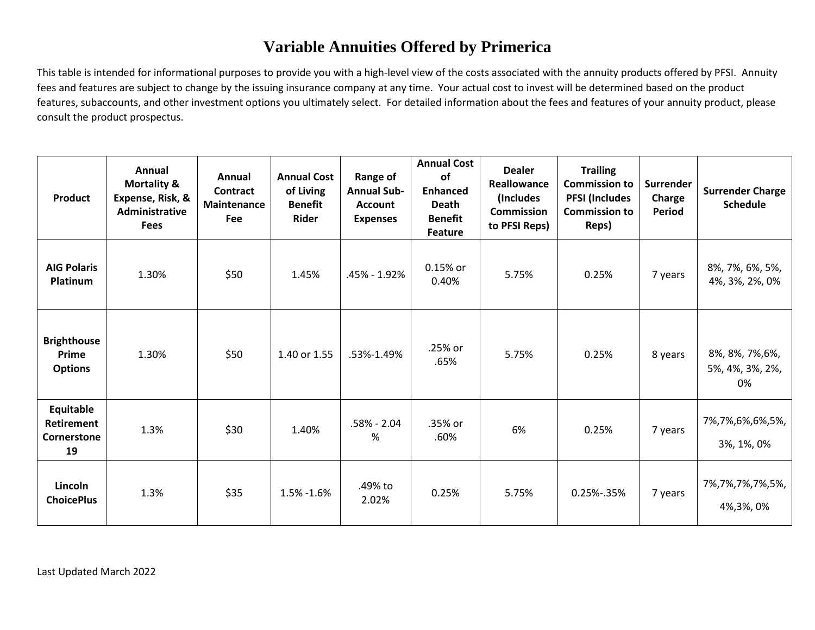## **Variable Annuities Offered by Primerica**

This table is intended for informational purposes to provide you with a high-level view of the costs associated with the annuity products offered by PFSI. Annuity fees and features are subject to change by the issuing insurance company at any time. Your actual cost to invest will be determined based on the product features, subaccounts, and other investment options you ultimately select. For detailed information about the fees and features of your annuity product, please consult the product prospectus.

| <b>Product</b>                                      | Annual<br><b>Mortality &amp;</b><br>Expense, Risk, &<br>Administrative<br><b>Fees</b> | Annual<br>Contract<br>Maintenance<br>Fee | <b>Annual Cost</b><br>of Living<br><b>Benefit</b><br><b>Rider</b> | Range of<br><b>Annual Sub-</b><br><b>Account</b><br><b>Expenses</b> | <b>Annual Cost</b><br>of<br><b>Enhanced</b><br><b>Death</b><br><b>Benefit</b><br><b>Feature</b> | <b>Dealer</b><br>Reallowance<br>(Includes)<br><b>Commission</b><br>to PFSI Reps) | <b>Trailing</b><br><b>Commission to</b><br><b>PFSI (Includes</b><br><b>Commission to</b><br>Reps) | Surrender<br>Charge<br>Period | <b>Surrender Charge</b><br><b>Schedule</b> |
|-----------------------------------------------------|---------------------------------------------------------------------------------------|------------------------------------------|-------------------------------------------------------------------|---------------------------------------------------------------------|-------------------------------------------------------------------------------------------------|----------------------------------------------------------------------------------|---------------------------------------------------------------------------------------------------|-------------------------------|--------------------------------------------|
| <b>AIG Polaris</b><br>Platinum                      | 1.30%                                                                                 | \$50                                     | 1.45%                                                             | .45% - 1.92%                                                        | 0.15% or<br>0.40%                                                                               | 5.75%                                                                            | 0.25%                                                                                             | 7 years                       | 8%, 7%, 6%, 5%,<br>4%, 3%, 2%, 0%          |
| <b>Brighthouse</b><br>Prime<br><b>Options</b>       | 1.30%                                                                                 | \$50                                     | 1.40 or 1.55                                                      | .53%-1.49%                                                          | .25% or<br>.65%                                                                                 | 5.75%                                                                            | 0.25%                                                                                             | 8 years                       | 8%, 8%, 7%, 6%,<br>5%, 4%, 3%, 2%,<br>0%   |
| Equitable<br><b>Retirement</b><br>Cornerstone<br>19 | 1.3%                                                                                  | \$30                                     | 1.40%                                                             | $.58\% - 2.04$<br>%                                                 | .35% or<br>.60%                                                                                 | 6%                                                                               | 0.25%                                                                                             | 7 years                       | 7%,7%,6%,6%,5%,<br>3%, 1%, 0%              |
| Lincoln<br><b>ChoicePlus</b>                        | 1.3%                                                                                  | \$35                                     | 1.5% -1.6%                                                        | .49% to<br>2.02%                                                    | 0.25%                                                                                           | 5.75%                                                                            | 0.25%-.35%                                                                                        | 7 years                       | 7%,7%,7%,7%,5%,<br>4%, 3%, 0%              |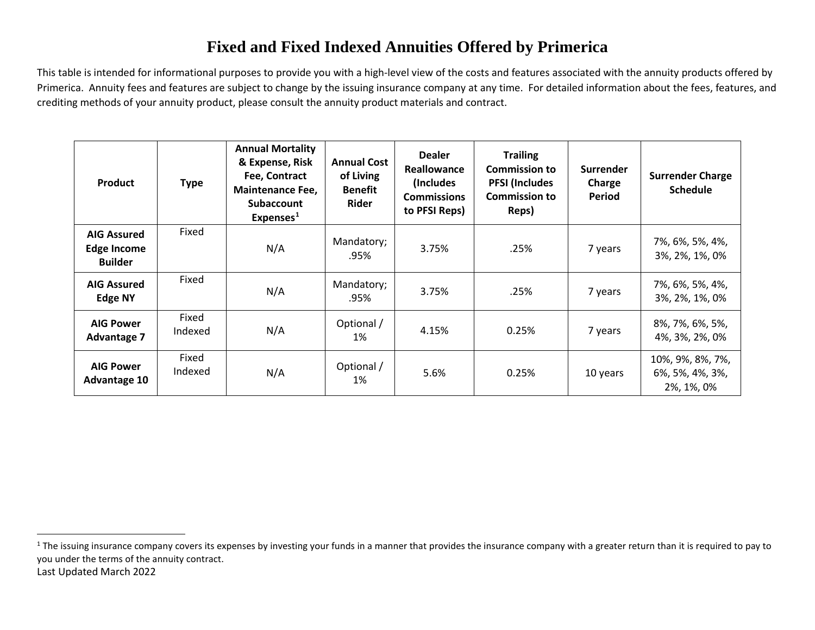## <span id="page-1-0"></span>**Fixed and Fixed Indexed Annuities Offered by Primerica**

This table is intended for informational purposes to provide you with a high-level view of the costs and features associated with the annuity products offered by Primerica. Annuity fees and features are subject to change by the issuing insurance company at any time. For detailed information about the fees, features, and crediting methods of your annuity product, please consult the annuity product materials and contract.

| <b>Product</b>                                             | <b>Type</b>      | <b>Annual Mortality</b><br>& Expense, Risk<br>Fee, Contract<br><b>Maintenance Fee,</b><br><b>Subaccount</b><br>Expenses <sup>1</sup> | <b>Annual Cost</b><br>of Living<br><b>Benefit</b><br>Rider | <b>Dealer</b><br>Reallowance<br>(Includes)<br><b>Commissions</b><br>to PFSI Reps) | <b>Trailing</b><br><b>Commission to</b><br><b>PFSI (Includes</b><br><b>Commission to</b><br>Reps) | <b>Surrender</b><br>Charge<br><b>Period</b> | <b>Surrender Charge</b><br><b>Schedule</b>        |
|------------------------------------------------------------|------------------|--------------------------------------------------------------------------------------------------------------------------------------|------------------------------------------------------------|-----------------------------------------------------------------------------------|---------------------------------------------------------------------------------------------------|---------------------------------------------|---------------------------------------------------|
| <b>AIG Assured</b><br><b>Edge Income</b><br><b>Builder</b> | Fixed            | N/A                                                                                                                                  | Mandatory;<br>.95%                                         | 3.75%                                                                             | .25%                                                                                              | 7 years                                     | 7%, 6%, 5%, 4%,<br>3%, 2%, 1%, 0%                 |
| <b>AIG Assured</b><br>Edge NY                              | Fixed            | N/A                                                                                                                                  | Mandatory;<br>.95%                                         | 3.75%                                                                             | .25%                                                                                              | 7 years                                     | 7%, 6%, 5%, 4%,<br>3%, 2%, 1%, 0%                 |
| <b>AIG Power</b><br><b>Advantage 7</b>                     | Fixed<br>Indexed | N/A                                                                                                                                  | Optional /<br>1%                                           | 4.15%                                                                             | 0.25%                                                                                             | 7 years                                     | 8%, 7%, 6%, 5%,<br>4%, 3%, 2%, 0%                 |
| <b>AIG Power</b><br>Advantage 10                           | Fixed<br>Indexed | N/A                                                                                                                                  | Optional /<br>1%                                           | 5.6%                                                                              | 0.25%                                                                                             | 10 years                                    | 10%, 9%, 8%, 7%,<br>6%, 5%, 4%, 3%,<br>2%, 1%, 0% |

Last Updated March 2022 <sup>1</sup> The issuing insurance company covers its expenses by investing your funds in a manner that provides the insurance company with a greater return than it is required to pay to you under the terms of the annuity contract.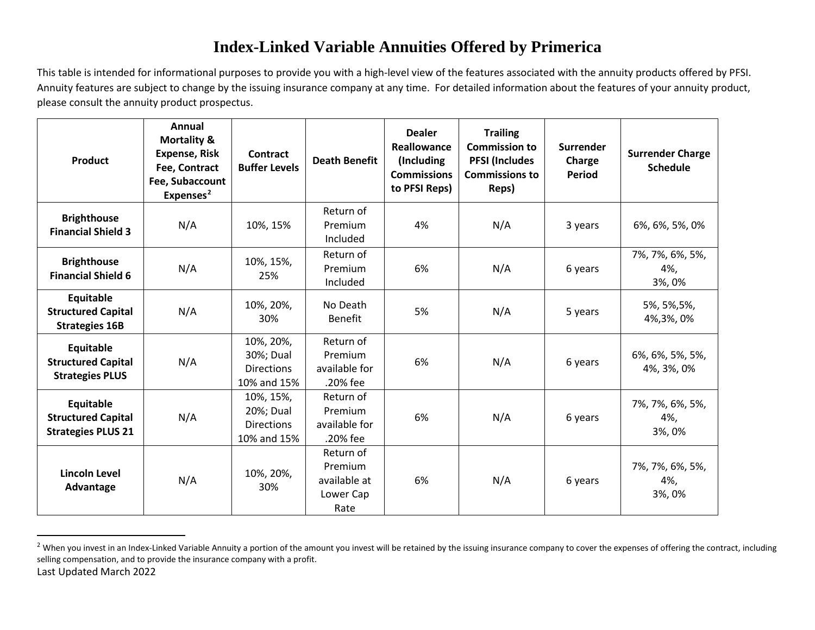## <span id="page-2-0"></span>**Index-Linked Variable Annuities Offered by Primerica**

This table is intended for informational purposes to provide you with a high-level view of the features associated with the annuity products offered by PFSI. Annuity features are subject to change by the issuing insurance company at any time. For detailed information about the features of your annuity product, please consult the annuity product prospectus.

| <b>Product</b>                                                      | Annual<br><b>Mortality &amp;</b><br><b>Expense, Risk</b><br>Fee, Contract<br>Fee, Subaccount<br>Expenses <sup>2</sup> | Contract<br><b>Buffer Levels</b>                           | <b>Death Benefit</b>                                      | <b>Dealer</b><br>Reallowance<br>(Including<br><b>Commissions</b><br>to PFSI Reps) | <b>Trailing</b><br><b>Commission to</b><br><b>PFSI (Includes</b><br><b>Commissions to</b><br>Reps) | Surrender<br>Charge<br>Period | <b>Surrender Charge</b><br><b>Schedule</b> |
|---------------------------------------------------------------------|-----------------------------------------------------------------------------------------------------------------------|------------------------------------------------------------|-----------------------------------------------------------|-----------------------------------------------------------------------------------|----------------------------------------------------------------------------------------------------|-------------------------------|--------------------------------------------|
| <b>Brighthouse</b><br><b>Financial Shield 3</b>                     | N/A                                                                                                                   | 10%, 15%                                                   | Return of<br>Premium<br>Included                          | 4%                                                                                | N/A                                                                                                | 3 years                       | 6%, 6%, 5%, 0%                             |
| <b>Brighthouse</b><br><b>Financial Shield 6</b>                     | N/A                                                                                                                   | 10%, 15%,<br>25%                                           | Return of<br>Premium<br>Included                          | 6%                                                                                | N/A                                                                                                | 6 years                       | 7%, 7%, 6%, 5%,<br>4%,<br>3%, 0%           |
| Equitable<br><b>Structured Capital</b><br><b>Strategies 16B</b>     | N/A                                                                                                                   | 10%, 20%,<br>30%                                           | No Death<br>Benefit                                       | 5%                                                                                | N/A                                                                                                | 5 years                       | 5%, 5%, 5%,<br>4%, 3%, 0%                  |
| Equitable<br><b>Structured Capital</b><br><b>Strategies PLUS</b>    | N/A                                                                                                                   | 10%, 20%,<br>30%; Dual<br><b>Directions</b><br>10% and 15% | Return of<br>Premium<br>available for<br>.20% fee         | 6%                                                                                | N/A                                                                                                | 6 years                       | 6%, 6%, 5%, 5%,<br>4%, 3%, 0%              |
| Equitable<br><b>Structured Capital</b><br><b>Strategies PLUS 21</b> | N/A                                                                                                                   | 10%, 15%,<br>20%; Dual<br><b>Directions</b><br>10% and 15% | Return of<br>Premium<br>available for<br>.20% fee         | 6%                                                                                | N/A                                                                                                | 6 years                       | 7%, 7%, 6%, 5%,<br>4%,<br>3%, 0%           |
| <b>Lincoln Level</b><br>Advantage                                   | N/A                                                                                                                   | 10%, 20%,<br>30%                                           | Return of<br>Premium<br>available at<br>Lower Cap<br>Rate | 6%                                                                                | N/A                                                                                                | 6 years                       | 7%, 7%, 6%, 5%,<br>4%,<br>3%, 0%           |

Last Updated March 2022 <sup>2</sup> When you invest in an Index-Linked Variable Annuity a portion of the amount you invest will be retained by the issuing insurance company to cover the expenses of offering the contract, including selling compensation, and to provide the insurance company with a profit.